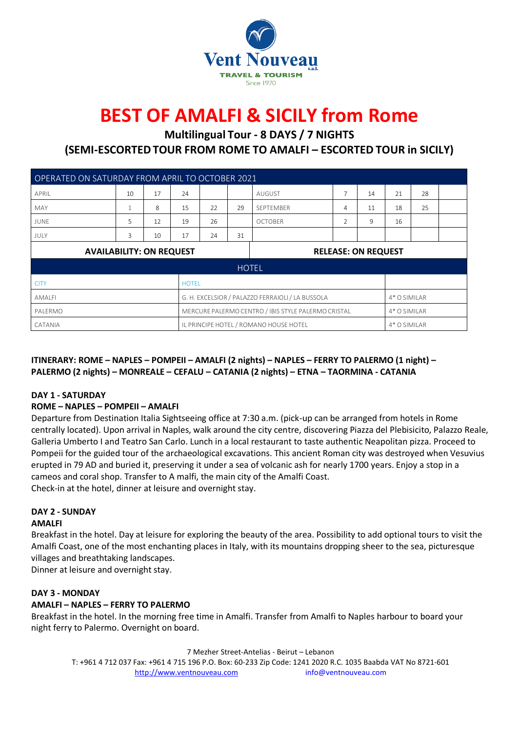

# **BEST OF AMALFI & SICILY from Rome**

**Multilingual Tour - 8 DAYS / 7 NIGHTS**

**(SEMI-ESCORTEDTOUR FROM ROME TO AMALFI – ESCORTED TOUR in SICILY)**

| OPERATED ON SATURDAY FROM APRIL TO OCTOBER 2021 |    |    |    |                                                     |    |                            |                |    |              |              |  |  |
|-------------------------------------------------|----|----|----|-----------------------------------------------------|----|----------------------------|----------------|----|--------------|--------------|--|--|
| APRIL                                           | 10 | 17 | 24 |                                                     |    | <b>AUGUST</b>              | 7              | 14 | 21           | 28           |  |  |
| <b>MAY</b>                                      | 1  | 8  | 15 | 22                                                  | 29 | SEPTEMBER                  | 4              | 11 | 18           | 25           |  |  |
| <b>JUNE</b>                                     | 5. | 12 | 19 | 26                                                  |    | <b>OCTOBER</b>             | $\overline{2}$ | 9  | 16           |              |  |  |
| JULY                                            | 3  | 10 | 17 | 24                                                  | 31 |                            |                |    |              |              |  |  |
| <b>AVAILABILITY: ON REQUEST</b>                 |    |    |    |                                                     |    | <b>RELEASE: ON REQUEST</b> |                |    |              |              |  |  |
| <b>HOTEL</b>                                    |    |    |    |                                                     |    |                            |                |    |              |              |  |  |
| <b>CITY</b><br><b>HOTEL</b>                     |    |    |    |                                                     |    |                            |                |    |              |              |  |  |
| <b>AMALFI</b>                                   |    |    |    | G. H. EXCELSIOR / PALAZZO FERRAIOLI / LA BUSSOLA    |    |                            |                |    | 4* O SIMILAR |              |  |  |
| PALERMO                                         |    |    |    | MERCURE PALERMO CENTRO / IBIS STYLE PALERMO CRISTAL |    |                            |                |    |              | 4* O SIMILAR |  |  |
| CATANIA                                         |    |    |    | IL PRINCIPE HOTEL / ROMANO HOUSE HOTEL              |    |                            |                |    |              | 4* O SIMILAR |  |  |

### **ITINERARY: ROME – NAPLES – POMPEII – AMALFI (2 nights) – NAPLES – FERRY TO PALERMO (1 night) – PALERMO (2 nights) – MONREALE – CEFALU – CATANIA (2 nights) – ETNA – TAORMINA - CATANIA**

### **DAY 1 - SATURDAY**

### **ROME – NAPLES – POMPEII – AMALFI**

Departure from Destination Italia Sightseeing office at 7:30 a.m. (pick-up can be arranged from hotels in Rome centrally located). Upon arrival in Naples, walk around the city centre, discovering Piazza del Plebisicito, Palazzo Reale, Galleria Umberto I and Teatro San Carlo. Lunch in a local restaurant to taste authentic Neapolitan pizza. Proceed to Pompeii for the guided tour of the archaeological excavations. This ancient Roman city was destroyed when Vesuvius erupted in 79 AD and buried it, preserving it under a sea of volcanic ash for nearly 1700 years. Enjoy a stop in a cameos and coral shop. Transfer to A malfi, the main city of the Amalfi Coast. Check-in at the hotel, dinner at leisure and overnight stay.

### **DAY 2 - SUNDAY**

### **AMALFI**

Breakfast in the hotel. Day at leisure for exploring the beauty of the area. Possibility to add optional tours to visit the Amalfi Coast, one of the most enchanting places in Italy, with its mountains dropping sheer to the sea, picturesque villages and breathtaking landscapes.

Dinner at leisure and overnight stay.

### **DAY 3 - MONDAY**

### **AMALFI – NAPLES – FERRY TO PALERMO**

Breakfast in the hotel. In the morning free time in Amalfi. Transfer from Amalfi to Naples harbour to board your night ferry to Palermo. Overnight on board.

7 Mezher Street-Antelias - Beirut – Lebanon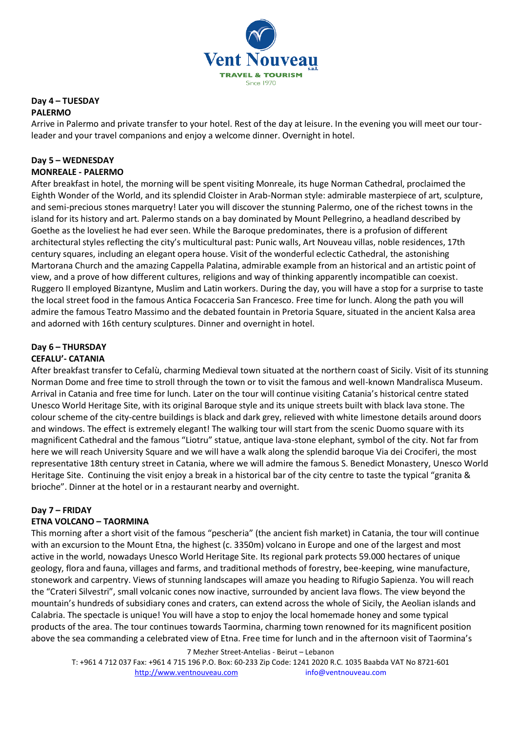

### **Day 4 – TUESDAY PALERMO**

Arrive in Palermo and private transfer to your hotel. Rest of the day at leisure. In the evening you will meet our tourleader and your travel companions and enjoy a welcome dinner. Overnight in hotel.

### **Day 5 – WEDNESDAY MONREALE - PALERMO**

After breakfast in hotel, the morning will be spent visiting Monreale, its huge Norman Cathedral, proclaimed the Eighth Wonder of the World, and its splendid Cloister in Arab-Norman style: admirable masterpiece of art, sculpture, and semi-precious stones marquetry! Later you will discover the stunning Palermo, one of the richest towns in the island for its history and art. Palermo stands on a bay dominated by Mount Pellegrino, a headland described by Goethe as the loveliest he had ever seen. While the Baroque predominates, there is a profusion of different architectural styles reflecting the city's multicultural past: Punic walls, Art Nouveau villas, noble residences, 17th century squares, including an elegant opera house. Visit of the wonderful eclectic Cathedral, the astonishing Martorana Church and the amazing Cappella Palatina, admirable example from an historical and an artistic point of view, and a prove of how different cultures, religions and way of thinking apparently incompatible can coexist. Ruggero II employed Bizantyne, Muslim and Latin workers. During the day, you will have a stop for a surprise to taste the local street food in the famous Antica Focacceria San Francesco. Free time for lunch. Along the path you will admire the famous Teatro Massimo and the debated fountain in Pretoria Square, situated in the ancient Kalsa area and adorned with 16th century sculptures. Dinner and overnight in hotel.

### **Day 6 – THURSDAY CEFALU'- CATANIA**

After breakfast transfer to Cefalù, charming Medieval town situated at the northern coast of Sicily. Visit of its stunning Norman Dome and free time to stroll through the town or to visit the famous and well-known Mandralisca Museum. Arrival in Catania and free time for lunch. Later on the tour will continue visiting Catania's historical centre stated Unesco World Heritage Site, with its original Baroque style and its unique streets built with black lava stone. The colour scheme of the city-centre buildings is black and dark grey, relieved with white limestone details around doors and windows. The effect is extremely elegant! The walking tour will start from the scenic Duomo square with its magnificent Cathedral and the famous "Liotru" statue, antique lava-stone elephant, symbol of the city. Not far from here we will reach University Square and we will have a walk along the splendid baroque Via dei Crociferi, the most representative 18th century street in Catania, where we will admire the famous S. Benedict Monastery, Unesco World Heritage Site. Continuing the visit enjoy a break in a historical bar of the city centre to taste the typical "granita & brioche". Dinner at the hotel or in a restaurant nearby and overnight.

### **Day 7 – FRIDAY**

### **ETNA VOLCANO – TAORMINA**

This morning after a short visit of the famous "pescheria" (the ancient fish market) in Catania, the tour will continue with an excursion to the Mount Etna, the highest (c. 3350m) volcano in Europe and one of the largest and most active in the world, nowadays Unesco World Heritage Site. Its regional park protects 59.000 hectares of unique geology, flora and fauna, villages and farms, and traditional methods of forestry, bee-keeping, wine manufacture, stonework and carpentry. Views of stunning landscapes will amaze you heading to Rifugio Sapienza. You will reach the "Crateri Silvestri", small volcanic cones now inactive, surrounded by ancient lava flows. The view beyond the mountain's hundreds of subsidiary cones and craters, can extend across the whole of Sicily, the Aeolian islands and Calabria. The spectacle is unique! You will have a stop to enjoy the local homemade honey and some typical products of the area. The tour continues towards Taormina, charming town renowned for its magnificent position above the sea commanding a celebrated view of Etna. Free time for lunch and in the afternoon visit of Taormina's

7 Mezher Street-Antelias - Beirut – Lebanon

T: +961 4 712 037 Fax: +961 4 715 196 P.O. Box: 60-233 Zip Code: 1241 2020 R.C. 1035 Baabda VAT No 8721-601 [http://www.ventnouveau.com](http://www.ventnouveau.com/) info@ventnouveau.com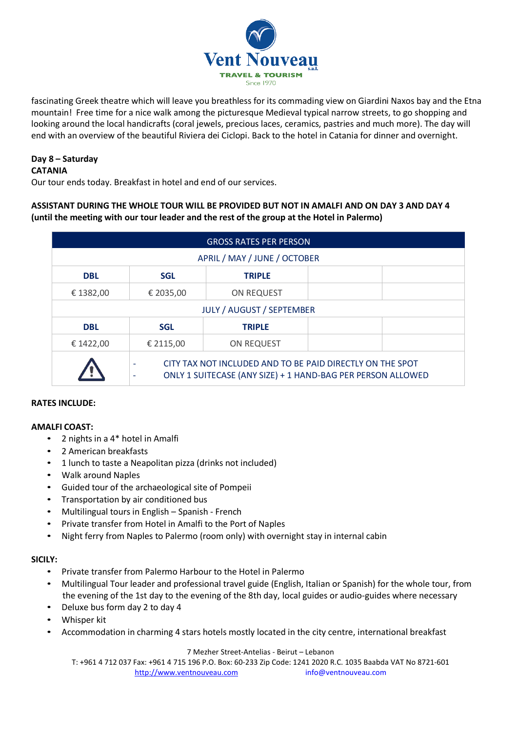

fascinating Greek theatre which will leave you breathless for its commading view on Giardini Naxos bay and the Etna mountain! Free time for a nice walk among the picturesque Medieval typical narrow streets, to go shopping and looking around the local handicrafts (coral jewels, precious laces, ceramics, pastries and much more). The day will end with an overview of the beautiful Riviera dei Ciclopi. Back to the hotel in Catania for dinner and overnight.

## **Day 8 – Saturday**

### **CATANIA**

Our tour ends today. Breakfast in hotel and end of our services.

### **ASSISTANT DURING THE WHOLE TOUR WILL BE PROVIDED BUT NOT IN AMALFI AND ON DAY 3 AND DAY 4 (until the meeting with our tour leader and the rest of the group at the Hotel in Palermo)**

| <b>GROSS RATES PER PERSON</b> |                                                                                                                                    |                   |  |  |  |  |  |  |  |
|-------------------------------|------------------------------------------------------------------------------------------------------------------------------------|-------------------|--|--|--|--|--|--|--|
| APRIL / MAY / JUNE / OCTOBER  |                                                                                                                                    |                   |  |  |  |  |  |  |  |
| <b>DBL</b>                    | <b>SGL</b>                                                                                                                         | <b>TRIPLE</b>     |  |  |  |  |  |  |  |
| € 1382,00                     | € 2035,00                                                                                                                          | <b>ON REQUEST</b> |  |  |  |  |  |  |  |
| JULY / AUGUST / SEPTEMBER     |                                                                                                                                    |                   |  |  |  |  |  |  |  |
| <b>DBL</b>                    | <b>SGL</b>                                                                                                                         | <b>TRIPLE</b>     |  |  |  |  |  |  |  |
| € 1422,00                     | € 2115,00                                                                                                                          | <b>ON REQUEST</b> |  |  |  |  |  |  |  |
|                               | CITY TAX NOT INCLUDED AND TO BE PAID DIRECTLY ON THE SPOT<br>٠<br>ONLY 1 SUITECASE (ANY SIZE) + 1 HAND-BAG PER PERSON ALLOWED<br>٠ |                   |  |  |  |  |  |  |  |

### **RATES INCLUDE:**

### **AMALFI COAST:**

- 2 nights in a 4\* hotel in Amalfi
- 2 American breakfasts
- 1 lunch to taste a Neapolitan pizza (drinks not included)
- Walk around Naples
- Guided tour of the archaeological site of Pompeii
- Transportation by air conditioned bus
- Multilingual tours in English Spanish French
- Private transfer from Hotel in Amalfi to the Port of Naples
- Night ferry from Naples to Palermo (room only) with overnight stay in internal cabin

### **SICILY:**

- Private transfer from Palermo Harbour to the Hotel in Palermo
- Multilingual Tour leader and professional travel guide (English, Italian or Spanish) for the whole tour, from the evening of the 1st day to the evening of the 8th day, local guides or audio-guides where necessary
- Deluxe bus form day 2 to day 4
- Whisper kit
- Accommodation in charming 4 stars hotels mostly located in the city centre, international breakfast

### 7 Mezher Street-Antelias - Beirut – Lebanon

T: +961 4 712 037 Fax: +961 4 715 196 P.O. Box: 60-233 Zip Code: 1241 2020 R.C. 1035 Baabda VAT No 8721-601 [http://www.ventnouveau.com](http://www.ventnouveau.com/) info@ventnouveau.com